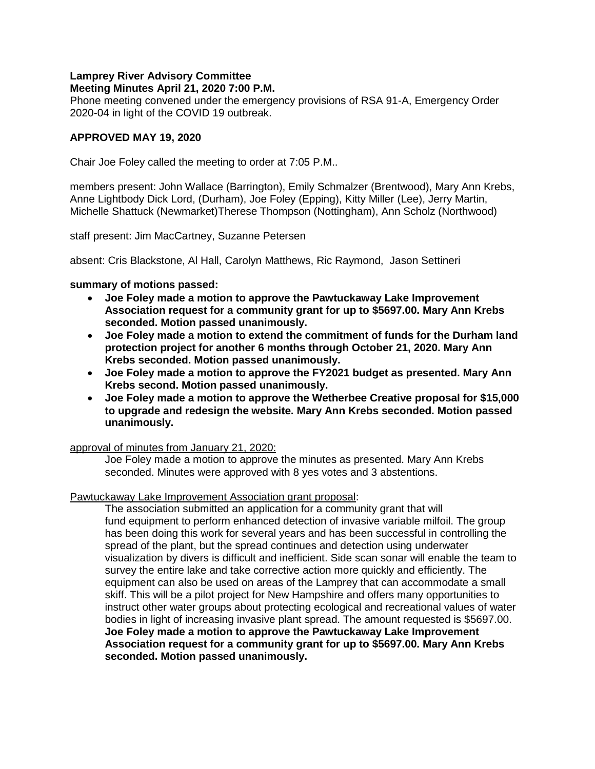#### **Lamprey River Advisory Committee Meeting Minutes April 21, 2020 7:00 P.M.**

Phone meeting convened under the emergency provisions of RSA 91-A, Emergency Order 2020-04 in light of the COVID 19 outbreak.

## **APPROVED MAY 19, 2020**

Chair Joe Foley called the meeting to order at 7:05 P.M..

members present: John Wallace (Barrington), Emily Schmalzer (Brentwood), Mary Ann Krebs, Anne Lightbody Dick Lord, (Durham), Joe Foley (Epping), Kitty Miller (Lee), Jerry Martin, Michelle Shattuck (Newmarket)Therese Thompson (Nottingham), Ann Scholz (Northwood)

staff present: Jim MacCartney, Suzanne Petersen

absent: Cris Blackstone, Al Hall, Carolyn Matthews, Ric Raymond, Jason Settineri

### **summary of motions passed:**

- **Joe Foley made a motion to approve the Pawtuckaway Lake Improvement Association request for a community grant for up to \$5697.00. Mary Ann Krebs seconded. Motion passed unanimously.**
- **Joe Foley made a motion to extend the commitment of funds for the Durham land protection project for another 6 months through October 21, 2020. Mary Ann Krebs seconded. Motion passed unanimously.**
- **Joe Foley made a motion to approve the FY2021 budget as presented. Mary Ann Krebs second. Motion passed unanimously.**
- **Joe Foley made a motion to approve the Wetherbee Creative proposal for \$15,000 to upgrade and redesign the website. Mary Ann Krebs seconded. Motion passed unanimously.**

#### approval of minutes from January 21, 2020:

Joe Foley made a motion to approve the minutes as presented. Mary Ann Krebs seconded. Minutes were approved with 8 yes votes and 3 abstentions.

### Pawtuckaway Lake Improvement Association grant proposal:

The association submitted an application for a community grant that will fund equipment to perform enhanced detection of invasive variable milfoil. The group has been doing this work for several years and has been successful in controlling the spread of the plant, but the spread continues and detection using underwater visualization by divers is difficult and inefficient. Side scan sonar will enable the team to survey the entire lake and take corrective action more quickly and efficiently. The equipment can also be used on areas of the Lamprey that can accommodate a small skiff. This will be a pilot project for New Hampshire and offers many opportunities to instruct other water groups about protecting ecological and recreational values of water bodies in light of increasing invasive plant spread. The amount requested is \$5697.00. **Joe Foley made a motion to approve the Pawtuckaway Lake Improvement Association request for a community grant for up to \$5697.00. Mary Ann Krebs seconded. Motion passed unanimously.**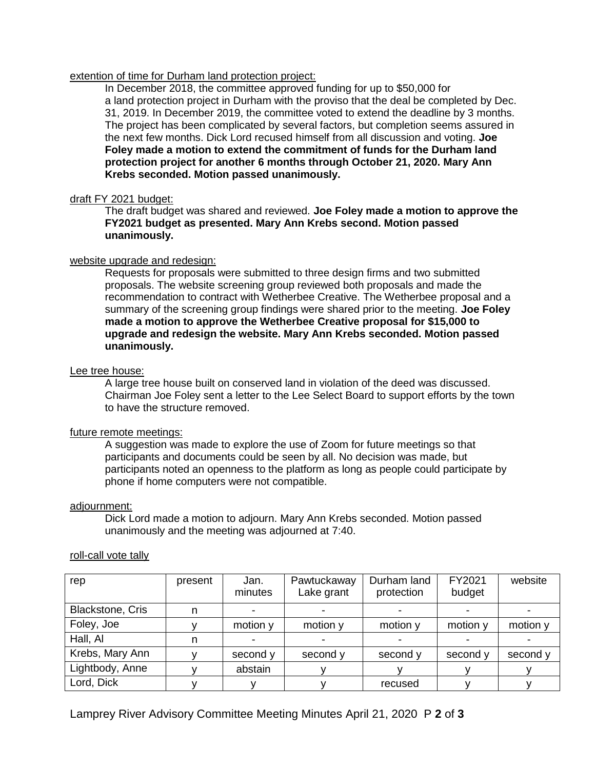#### extention of time for Durham land protection project:

In December 2018, the committee approved funding for up to \$50,000 for a land protection project in Durham with the proviso that the deal be completed by Dec. 31, 2019. In December 2019, the committee voted to extend the deadline by 3 months. The project has been complicated by several factors, but completion seems assured in the next few months. Dick Lord recused himself from all discussion and voting. **Joe Foley made a motion to extend the commitment of funds for the Durham land protection project for another 6 months through October 21, 2020. Mary Ann Krebs seconded. Motion passed unanimously.**

### draft FY 2021 budget:

The draft budget was shared and reviewed. **Joe Foley made a motion to approve the FY2021 budget as presented. Mary Ann Krebs second. Motion passed unanimously.** 

### website upgrade and redesign:

Requests for proposals were submitted to three design firms and two submitted proposals. The website screening group reviewed both proposals and made the recommendation to contract with Wetherbee Creative. The Wetherbee proposal and a summary of the screening group findings were shared prior to the meeting. **Joe Foley made a motion to approve the Wetherbee Creative proposal for \$15,000 to upgrade and redesign the website. Mary Ann Krebs seconded. Motion passed unanimously.** 

#### Lee tree house:

A large tree house built on conserved land in violation of the deed was discussed. Chairman Joe Foley sent a letter to the Lee Select Board to support efforts by the town to have the structure removed.

### future remote meetings:

A suggestion was made to explore the use of Zoom for future meetings so that participants and documents could be seen by all. No decision was made, but participants noted an openness to the platform as long as people could participate by phone if home computers were not compatible.

#### adjournment:

Dick Lord made a motion to adjourn. Mary Ann Krebs seconded. Motion passed unanimously and the meeting was adjourned at 7:40.

| rep                     | present | Jan.<br>minutes | Pawtuckaway<br>Lake grant | Durham land<br>protection | FY2021<br>budget | website  |
|-------------------------|---------|-----------------|---------------------------|---------------------------|------------------|----------|
| <b>Blackstone, Cris</b> |         | ۰               |                           |                           |                  |          |
| Foley, Joe              |         | motion y        | motion y                  | motion y                  | motion y         | motion y |
| Hall, Al                |         |                 |                           |                           |                  |          |
| Krebs, Mary Ann         |         | second y        | second y                  | second y                  | second y         | second y |
| Lightbody, Anne         |         | abstain         |                           |                           |                  |          |
| Lord, Dick              |         |                 |                           | recused                   |                  |          |

#### roll-call vote tally

# Lamprey River Advisory Committee Meeting Minutes April 21, 2020 P **2** of **3**